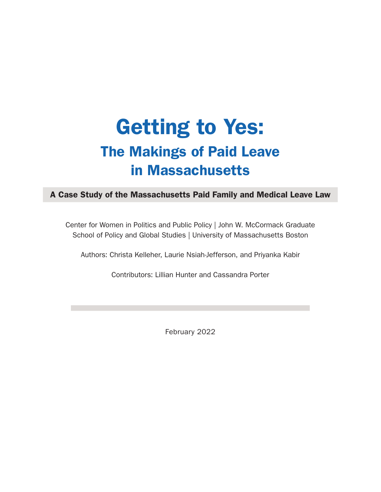# Getting to Yes: The Makings of Paid Leave in Massachusetts

## A Case Study of the Massachusetts Paid Family and Medical Leave Law

Center for Women in Politics and Public Policy | John W. McCormack Graduate School of Policy and Global Studies | University of Massachusetts Boston

Authors: Christa Kelleher, Laurie Nsiah-Jefferson, and Priyanka Kabir

Contributors: Lillian Hunter and Cassandra Porter

February 2022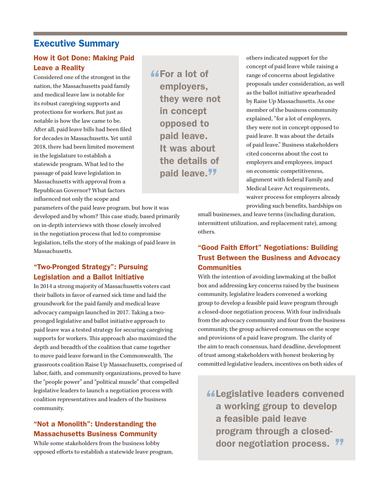## Executive Summary

#### How it Got Done: Making Paid Leave a Reality

Considered one of the strongest in the nation, the Massachusetts paid family and medical leave law is notable for its robust caregiving supports and protections for workers. But just as notable is how the law came to be. After all, paid leave bills had been filed for decades in Massachusetts. Yet until 2018, there had been limited movement in the legislature to establish a statewide program. What led to the passage of paid leave legislation in Massachusetts with approval from a Republican Governor? What factors influenced not only the scope and

parameters of the paid leave program, but how it was developed and by whom? This case study, based primarily on in-depth interviews with those closely involved in the negotiation process that led to compromise legislation, tells the story of the makings of paid leave in Massachusetts.

#### "Two-Pronged Strategy": Pursuing Legislation and a Ballot Initiative

In 2014 a strong majority of Massachusetts voters cast their ballots in favor of earned sick time and laid the groundwork for the paid family and medical leave advocacy campaign launched in 2017. Taking a twopronged legislative and ballot initiative approach to paid leave was a tested strategy for securing caregiving supports for workers. This approach also maximized the depth and breadth of the coalition that came together to move paid leave forward in the Commonwealth. The grassroots coalition Raise Up Massachusetts, comprised of labor, faith, and community organizations, proved to have the "people power" and "political muscle" that compelled legislative leaders to launch a negotiation process with coalition representatives and leaders of the business community.

#### "Not a Monolith": Understanding the Massachusetts Business Community

While some stakeholders from the business lobby opposed efforts to establish a statewide leave program,

*<u>AFor a lot of</u>* employers, they were not in concept opposed to paid leave. It was about the details of paid leave.<sup>77</sup>

others indicated support for the concept of paid leave while raising a range of concerns about legislative proposals under consideration, as well as the ballot initiative spearheaded by Raise Up Massachusetts. As one member of the business community explained, "for a lot of employers, they were not in concept opposed to paid leave. It was about the details of paid leave." Business stakeholders cited concerns about the cost to employers and employees, impact on economic competitiveness, alignment with federal Family and Medical Leave Act requirements, waiver process for employers already providing such benefits, hardships on

small businesses, and leave terms (including duration, intermittent utilization, and replacement rate), among others.

### "Good Faith Effort" Negotiations: Building Trust Between the Business and Advocacy **Communities**

With the intention of avoiding lawmaking at the ballot box and addressing key concerns raised by the business community, legislative leaders convened a working group to develop a feasible paid leave program through a closed-door negotiation process. With four individuals from the advocacy community and four from the business community, the group achieved consensus on the scope and provisions of a paid leave program. The clarity of the aim to reach consensus, hard deadline, development of trust among stakeholders with honest brokering by committed legislative leaders, incentives on both sides of

Legislative leaders convened a working group to develop a feasible paid leave program through a closeddoor negotiation process.